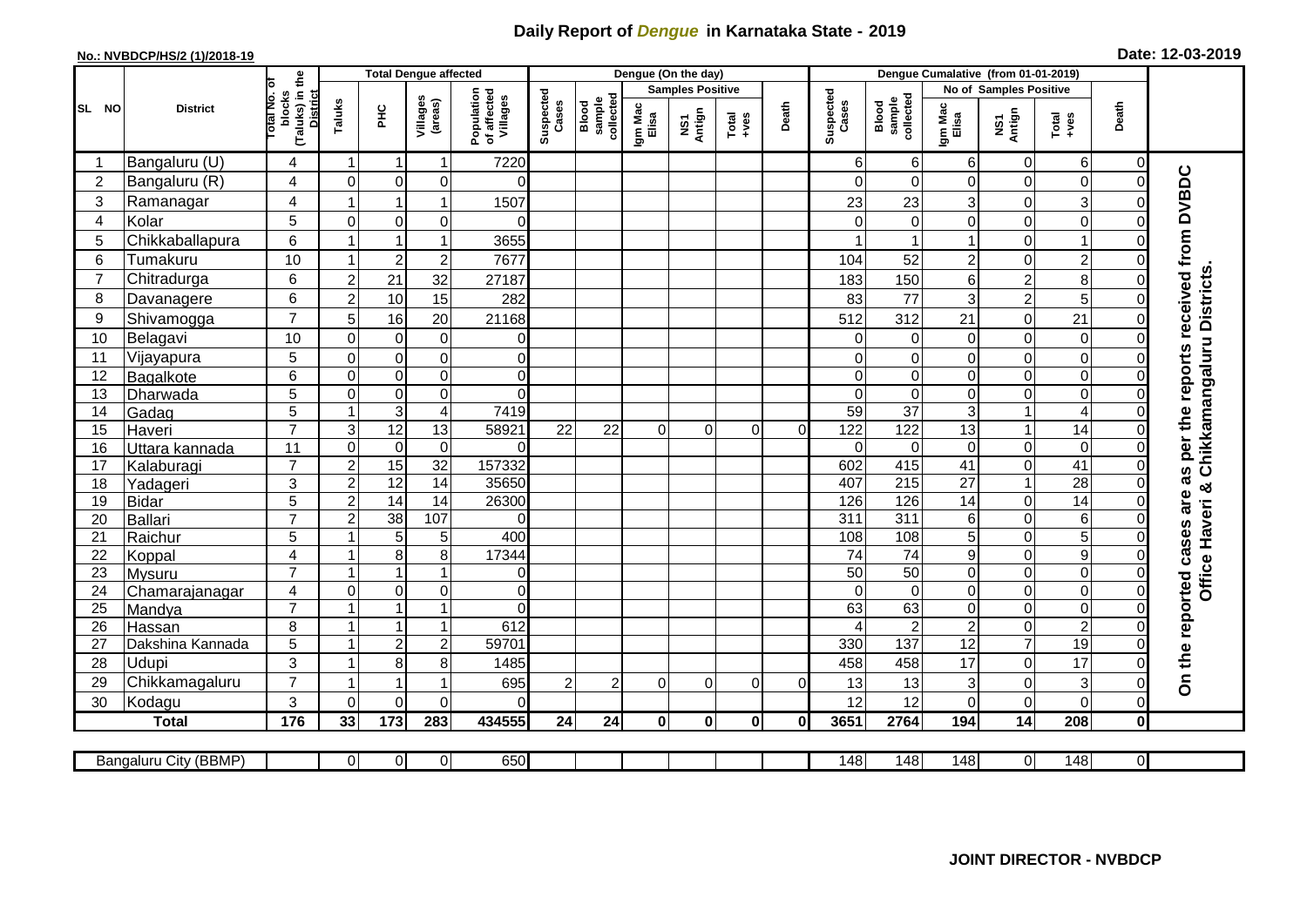## **Daily Report of** *Dengue* **in Karnataka State - 2019**

## **No.: NVBDCP/HS/2 (1)/2018-19 Date: 12-03-2019**

|                 | <b>District</b>            |                                                      | <b>Total Dengue affected</b> |                                  |                                       |                            |                              |                  |                         | Dengue (On the day)                                          |              |                    |                              |                       |                                   |                     |                                  |                               |                                                                  |
|-----------------|----------------------------|------------------------------------------------------|------------------------------|----------------------------------|---------------------------------------|----------------------------|------------------------------|------------------|-------------------------|--------------------------------------------------------------|--------------|--------------------|------------------------------|-----------------------|-----------------------------------|---------------------|----------------------------------|-------------------------------|------------------------------------------------------------------|
| SL NO           |                            |                                                      |                              |                                  |                                       |                            |                              |                  | <b>Samples Positive</b> |                                                              |              |                    |                              |                       | No of Samples Positive            |                     |                                  |                               |                                                                  |
|                 |                            | (Taluks) in the<br>District<br>otal No. of<br>blocks | Taluks                       | Villages<br>(areas)<br>Ξ         | Population<br>of affected<br>Villages | Suspected<br>Cases         | sample<br>collected<br>Blood | Igm Mac<br>Elisa | NS1<br>Antign           | $\begin{array}{c}\n\text{Total} \\ \text{Area}\n\end{array}$ | Death        | Suspected<br>Cases | collected<br>sample<br>Blood | Igm Mac<br>Elisa      | Death<br>NS1<br>Antign<br>$Total$ |                     |                                  |                               |                                                                  |
|                 | Bangaluru (U)              | 4                                                    | -1                           | -1                               | 1                                     | 7220                       |                              |                  |                         |                                                              |              |                    | 6                            | 6                     | 6                                 | 0                   | $6 \mid$                         | 0                             |                                                                  |
| $\overline{2}$  | Bangaluru (R)              | $\overline{4}$                                       | $\mathbf{0}$                 | $\mathbf 0$                      | $\mathbf 0$                           | $\Omega$                   |                              |                  |                         |                                                              |              |                    | $\Omega$                     | $\Omega$              | $\Omega$                          | 0                   | $\mathsf{O}\xspace$              | $\Omega$                      |                                                                  |
| 3               | Ramanagar                  | $\overline{4}$                                       |                              |                                  | 1                                     | 1507                       |                              |                  |                         |                                                              |              |                    | 23                           | 23                    | 3                                 | 0                   | $\overline{3}$                   | $\bigcap$                     |                                                                  |
| $\overline{4}$  | Kolar                      | $\overline{5}$                                       | $\mathbf 0$                  | $\mathbf 0$                      | $\mathbf 0$                           | $\Omega$                   |                              |                  |                         |                                                              |              |                    | $\Omega$                     | $\mathbf 0$           | 0                                 | 0                   | $\overline{0}$                   | $\mathbf 0$                   |                                                                  |
| 5               | Chikkaballapura            | $6\phantom{1}$                                       |                              |                                  | 1                                     | 3655                       |                              |                  |                         |                                                              |              |                    |                              |                       |                                   | 0                   | $\mathbf{1}$                     | 0                             |                                                                  |
| $6\phantom{1}6$ | Tumakuru                   | 10                                                   |                              | $\overline{2}$                   | $\overline{c}$                        | 7677                       |                              |                  |                         |                                                              |              |                    | 104                          | 52                    | $\overline{c}$                    | 0                   | $\overline{c}$                   | $\Omega$                      |                                                                  |
| $\overline{7}$  | Chitradurga                | 6                                                    | $\overline{c}$               | 21                               | 32                                    | 27187                      |                              |                  |                         |                                                              |              |                    | 183                          | 150                   | 6                                 | $\overline{c}$      | 8                                | $\Omega$                      |                                                                  |
| 8               | Davanagere                 | 6                                                    | $\overline{2}$               | 10                               | 15                                    | 282                        |                              |                  |                         |                                                              |              |                    | 83                           | 77                    | 3                                 | $\overline{c}$      | 5                                | $\mathbf 0$                   | Chikkamangaluru Districts                                        |
| 9               | Shivamogga                 | $\overline{7}$                                       | 5                            | 16                               | 20                                    | 21168                      |                              |                  |                         |                                                              |              |                    | 512                          | 312                   | 21                                | 0                   | 21                               | $\Omega$                      |                                                                  |
| 10              | Belagavi                   | 10                                                   | $\mathbf 0$                  | $\pmb{0}$                        | $\pmb{0}$                             | 0                          |                              |                  |                         |                                                              |              |                    | $\Omega$                     | 0                     | $\mathbf 0$                       | 0                   | $\mathsf{O}\xspace$              | $\Omega$                      |                                                                  |
| 11              | Vijayapura                 | 5                                                    | $\mathbf 0$                  | $\boldsymbol{0}$                 | $\mathbf 0$                           | $\overline{0}$             |                              |                  |                         |                                                              |              |                    | $\Omega$                     | $\mathbf 0$           | 0                                 | $\mathbf 0$         | $\overline{\mathsf{o}}$          | $\Omega$                      |                                                                  |
| 12              | Bagalkote                  | 6                                                    | $\mathbf 0$                  | $\pmb{0}$                        | $\mathbf 0$                           | $\overline{0}$             |                              |                  |                         |                                                              |              |                    | $\Omega$                     | $\mathbf 0$           | 0                                 | 0                   | $\overline{\mathsf{o}}$          | $\mathbf 0$                   |                                                                  |
| 13              | Dharwada                   | 5                                                    | $\Omega$                     | $\mathbf 0$                      | $\mathbf 0$                           | $\Omega$                   |                              |                  |                         |                                                              |              |                    | $\Omega$                     | $\Omega$              | $\Omega$                          | 0                   | $\overline{0}$                   | $\Omega$                      |                                                                  |
| 14              | Gadag                      | $\overline{5}$                                       |                              | $\overline{3}$                   | $\overline{\mathbf{4}}$               | 7419                       |                              |                  |                         |                                                              |              |                    | 59                           | $\overline{37}$       | 3                                 | 1                   | $\overline{4}$                   | $\Omega$                      |                                                                  |
| 15              | Haveri                     | $\overline{7}$                                       | 3                            | $\overline{12}$                  | 13                                    | 58921                      | 22                           | 22               | $\Omega$                | $\Omega$                                                     | $\Omega$     | $\Omega$           | 122                          | 122                   | 13                                | 1                   | 14                               | $\Omega$                      |                                                                  |
| 16              | Uttara kannada             | 11                                                   | $\mathbf 0$                  | $\mathbf 0$                      | $\mathbf 0$                           | $\Omega$                   |                              |                  |                         |                                                              |              |                    | $\Omega$                     | $\Omega$              | $\Omega$                          | 0                   | $\overline{0}$                   | $\Omega$                      |                                                                  |
| 17              | Kalaburagi                 | $\overline{7}$                                       | $\overline{c}$               | 15                               | $\overline{32}$                       | 157332                     |                              |                  |                         |                                                              |              |                    | 602                          | 415                   | 41                                | 0                   | $\overline{41}$                  | $\mathbf 0$                   |                                                                  |
| 18              | Yadageri                   | 3                                                    | $\overline{2}$               | 12                               | 14                                    | 35650                      |                              |                  |                         |                                                              |              |                    | 407                          | 215                   | 27                                | $\mathbf{1}$        | 28                               | $\Omega$                      | ×                                                                |
| 19              | Bidar                      | 5                                                    | $\overline{2}$               | 14                               | 14                                    | 26300                      |                              |                  |                         |                                                              |              |                    | 126                          | 126                   | 14                                | 0                   | 14                               | $\Omega$                      |                                                                  |
| 20              | Ballari                    | $\overline{7}$                                       | $\overline{2}$               | 38                               | 107                                   | $\Omega$                   |                              |                  |                         |                                                              |              |                    | $\overline{311}$             | 311                   | 6                                 | 0                   | $\sigma$                         | $\Omega$                      |                                                                  |
| 21              | Raichur                    | 5                                                    |                              | $\overline{5}$                   | 5                                     | 400                        |                              |                  |                         |                                                              |              |                    | 108                          | 108                   | 5                                 | 0                   | $\overline{5}$                   | $\mathbf 0$                   | Office Haveri                                                    |
| 22              | Koppal                     | 4                                                    |                              | 8                                | 8                                     | 17344                      |                              |                  |                         |                                                              |              |                    | 74                           | 74                    | 9                                 | $\mathbf 0$         | $\overline{9}$                   | $\Omega$                      |                                                                  |
| 23              | Mysuru                     | $\overline{7}$                                       |                              |                                  | 1                                     | $\overline{0}$             |                              |                  |                         |                                                              |              |                    | 50                           | 50                    | $\mathsf{O}\xspace$               | 0                   | $\overline{0}$                   | $\mathbf 0$                   |                                                                  |
| 24              | Chamarajanagar             | $\overline{4}$<br>$\overline{7}$                     | $\mathbf 0$                  | $\overline{0}$<br>$\overline{1}$ | 0<br>1                                | $\overline{0}$<br>$\Omega$ |                              |                  |                         |                                                              |              |                    | $\Omega$                     | $\overline{0}$        | $\overline{0}$                    | 0                   | $\overline{0}$                   | $\mathbf 0$                   |                                                                  |
| $\overline{25}$ | Mandya                     |                                                      | $\overline{\mathbf{1}}$      | 1                                | $\overline{1}$                        |                            |                              |                  |                         |                                                              |              |                    | 63                           | 63                    | $\mathbf 0$                       | 0                   | $\overline{0}$<br>$\overline{2}$ | $\mathbf 0$                   |                                                                  |
| 26<br>27        | Hassan<br>Dakshina Kannada | 8<br>5                                               | $\overline{\mathbf{1}}$      | $\overline{2}$                   | $\overline{c}$                        | 612<br>59701               |                              |                  |                         |                                                              |              |                    | 330                          | $\overline{2}$<br>137 | $\overline{c}$<br>$\overline{12}$ | 0<br>$\overline{7}$ | 19                               | $\mathbf 0$<br>$\overline{0}$ |                                                                  |
| 28              | <b>Udupi</b>               | 3                                                    |                              |                                  |                                       |                            |                              |                  |                         |                                                              |              |                    |                              |                       |                                   |                     | 17                               | $\Omega$                      |                                                                  |
| 29              | Chikkamagaluru             | $\overline{7}$                                       |                              | 8                                | 8<br>1                                | 1485<br>695                | $\overline{2}$               | $\overline{2}$   | $\Omega$                | $\Omega$                                                     | $\Omega$     | $\Omega$           | 458<br>13                    | 458<br>13             | 17<br>3                           | 0<br>0              | 3                                | $\Omega$                      | On the reported cases are as per the reports received from DVBDC |
| 30              | Kodagu                     | $\mathbf{3}$                                         | $\Omega$                     | $\mathbf 0$                      | $\Omega$                              | $\Omega$                   |                              |                  |                         |                                                              |              |                    | 12                           | 12                    | $\Omega$                          | 0                   | $\mathbf 0$                      | $\Omega$                      |                                                                  |
|                 | <b>Total</b>               | 176                                                  | 33                           | 173                              | 283                                   | 434555                     | 24                           | 24               | $\bf{0}$                | $\mathbf{0}$                                                 | $\mathbf{0}$ | 0l                 | 3651                         | 2764                  | 194                               | 14                  | 208                              | $\mathbf 0$                   |                                                                  |
|                 |                            |                                                      |                              |                                  |                                       |                            |                              |                  |                         |                                                              |              |                    |                              |                       |                                   |                     |                                  |                               |                                                                  |
|                 | Bangaluru City (BBMP)      |                                                      | $\overline{0}$               | $\overline{0}$                   | $\overline{0}$                        | 650                        |                              |                  |                         |                                                              |              |                    | 148                          | $\overline{148}$      | 148                               | 0                   | 148                              | $\overline{0}$                |                                                                  |